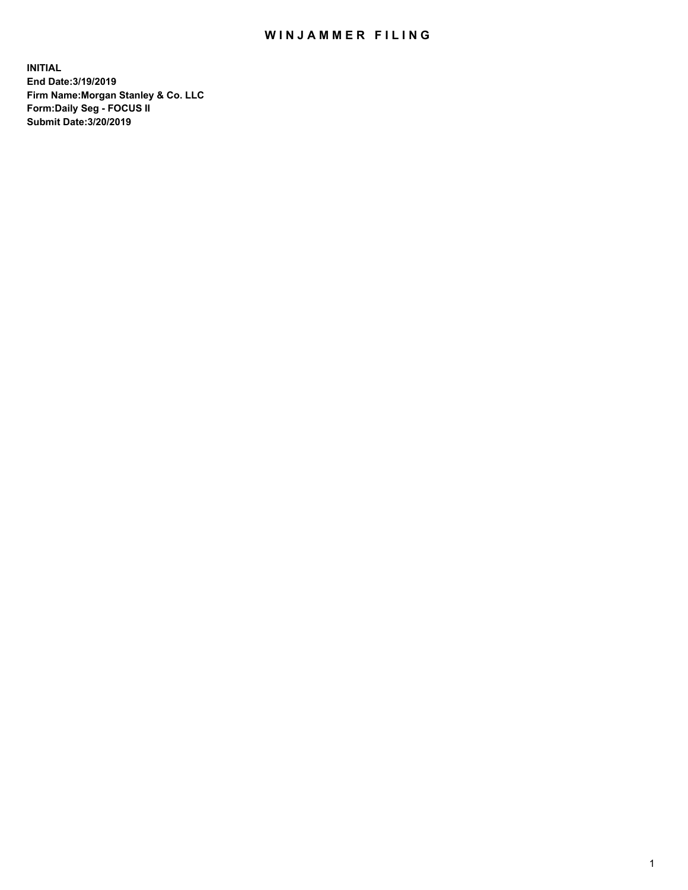## WIN JAMMER FILING

**INITIAL End Date:3/19/2019 Firm Name:Morgan Stanley & Co. LLC Form:Daily Seg - FOCUS II Submit Date:3/20/2019**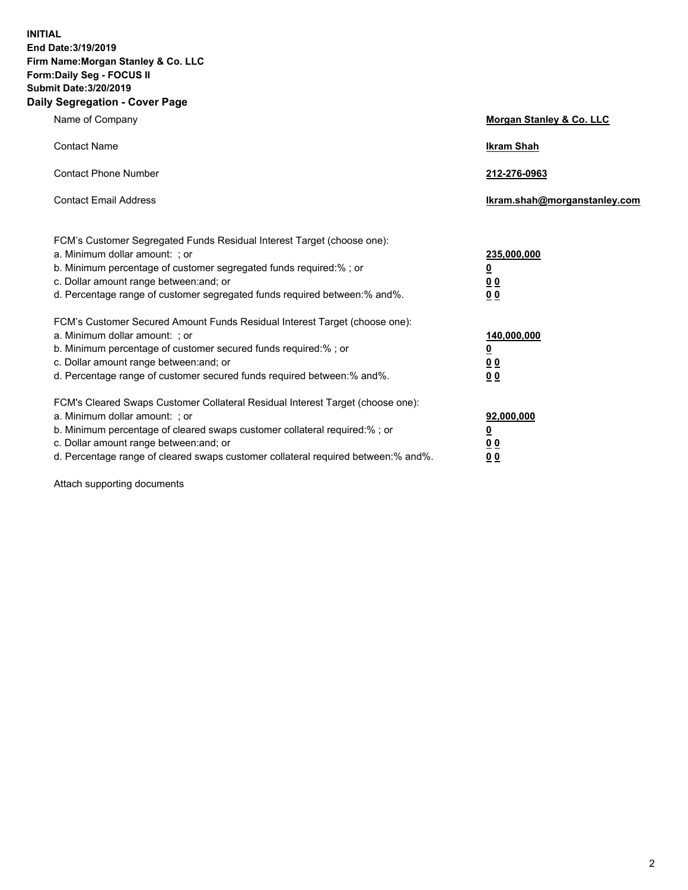**INITIAL End Date:3/19/2019 Firm Name:Morgan Stanley & Co. LLC Form:Daily Seg - FOCUS II Submit Date:3/20/2019 Daily Segregation - Cover Page**

| Name of Company                                                                                                                                                                                                                                                                                                               | Morgan Stanley & Co. LLC                                    |
|-------------------------------------------------------------------------------------------------------------------------------------------------------------------------------------------------------------------------------------------------------------------------------------------------------------------------------|-------------------------------------------------------------|
| <b>Contact Name</b>                                                                                                                                                                                                                                                                                                           | <b>Ikram Shah</b>                                           |
| <b>Contact Phone Number</b>                                                                                                                                                                                                                                                                                                   | 212-276-0963                                                |
| <b>Contact Email Address</b>                                                                                                                                                                                                                                                                                                  | Ikram.shah@morganstanley.com                                |
| FCM's Customer Segregated Funds Residual Interest Target (choose one):<br>a. Minimum dollar amount: ; or<br>b. Minimum percentage of customer segregated funds required:% ; or<br>c. Dollar amount range between: and; or<br>d. Percentage range of customer segregated funds required between:% and%.                        | 235,000,000<br><u>0</u><br><u>00</u><br>0 <sup>0</sup>      |
| FCM's Customer Secured Amount Funds Residual Interest Target (choose one):<br>a. Minimum dollar amount: ; or<br>b. Minimum percentage of customer secured funds required:%; or<br>c. Dollar amount range between: and; or<br>d. Percentage range of customer secured funds required between:% and%.                           | 140,000,000<br><u>0</u><br>0 <sub>0</sub><br>0 <sub>0</sub> |
| FCM's Cleared Swaps Customer Collateral Residual Interest Target (choose one):<br>a. Minimum dollar amount: ; or<br>b. Minimum percentage of cleared swaps customer collateral required:%; or<br>c. Dollar amount range between: and; or<br>d. Percentage range of cleared swaps customer collateral required between:% and%. | 92,000,000<br><u>0</u><br>0 Q<br>00                         |

Attach supporting documents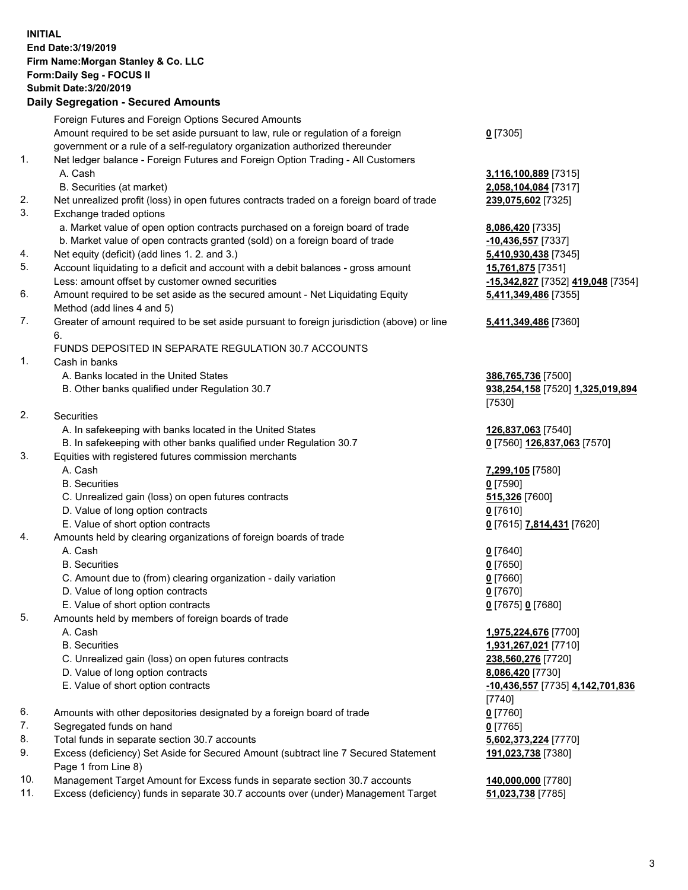## **INITIAL End Date:3/19/2019 Firm Name:Morgan Stanley & Co. LLC Form:Daily Seg - FOCUS II Submit Date:3/20/2019 Daily Segregation - Secured Amounts**

Foreign Futures and Foreign Options Secured Amounts Amount required to be set aside pursuant to law, rule or regulation of a foreign government or a rule of a self-regulatory organization authorized thereunder 1. Net ledger balance - Foreign Futures and Foreign Option Trading - All Customers A. Cash **3,116,100,889** [7315] B. Securities (at market) **2,058,104,084** [7317] 2. Net unrealized profit (loss) in open futures contracts traded on a foreign board of trade **239,075,602** [7325] 3. Exchange traded options a. Market value of open option contracts purchased on a foreign board of trade **8,086,420** [7335] b. Market value of open contracts granted (sold) on a foreign board of trade **-10,436,557** [7337] 4. Net equity (deficit) (add lines 1. 2. and 3.) **5,410,930,438** [7345] 5. Account liquidating to a deficit and account with a debit balances - gross amount **15,761,875** [7351] Less: amount offset by customer owned securities **-15,342,827** [7352] **419,048** [7354] 6. Amount required to be set aside as the secured amount - Net Liquidating Equity Method (add lines 4 and 5) 7. Greater of amount required to be set aside pursuant to foreign jurisdiction (above) or line 6. FUNDS DEPOSITED IN SEPARATE REGULATION 30.7 ACCOUNTS 1. Cash in banks A. Banks located in the United States **386,765,736** [7500] B. Other banks qualified under Regulation 30.7 **938,254,158** [7520] **1,325,019,894** 2. Securities A. In safekeeping with banks located in the United States **126,837,063** [7540] B. In safekeeping with other banks qualified under Regulation 30.7 **0** [7560] **126,837,063** [7570] 3. Equities with registered futures commission merchants A. Cash **7,299,105** [7580] B. Securities **0** [7590] C. Unrealized gain (loss) on open futures contracts **515,326** [7600] D. Value of long option contracts **0** [7610] E. Value of short option contracts **0** [7615] **7,814,431** [7620] 4. Amounts held by clearing organizations of foreign boards of trade A. Cash **0** [7640] B. Securities **0** [7650] C. Amount due to (from) clearing organization - daily variation **0** [7660] D. Value of long option contracts **0** [7670] E. Value of short option contracts **0** [7675] **0** [7680] 5. Amounts held by members of foreign boards of trade A. Cash **1,975,224,676** [7700] B. Securities **1,931,267,021** [7710]

- C. Unrealized gain (loss) on open futures contracts **238,560,276** [7720]
- D. Value of long option contracts **8,086,420** [7730]
- 
- 6. Amounts with other depositories designated by a foreign board of trade **0** [7760]
- 7. Segregated funds on hand **0** [7765]
- 8. Total funds in separate section 30.7 accounts **5,602,373,224** [7770]
- 9. Excess (deficiency) Set Aside for Secured Amount (subtract line 7 Secured Statement Page 1 from Line 8)
- 10. Management Target Amount for Excess funds in separate section 30.7 accounts **140,000,000** [7780]
- 11. Excess (deficiency) funds in separate 30.7 accounts over (under) Management Target **51,023,738** [7785]

**0** [7305]

**5,411,349,486** [7355]

## **5,411,349,486** [7360]

[7530]

 E. Value of short option contracts **-10,436,557** [7735] **4,142,701,836** [7740] **191,023,738** [7380]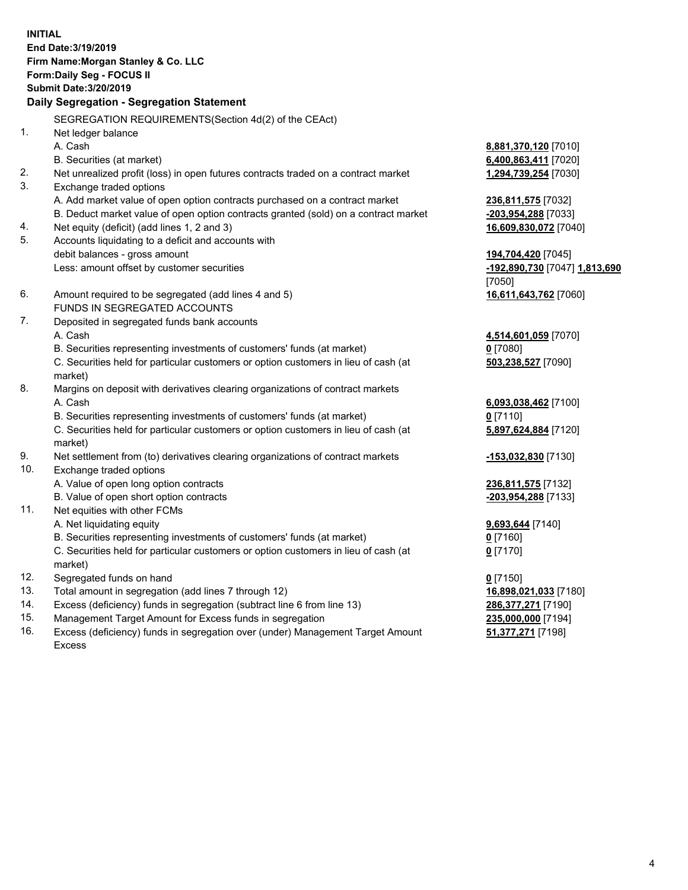**INITIAL End Date:3/19/2019 Firm Name:Morgan Stanley & Co. LLC Form:Daily Seg - FOCUS II Submit Date:3/20/2019 Daily Segregation - Segregation Statement** SEGREGATION REQUIREMENTS(Section 4d(2) of the CEAct) 1. Net ledger balance A. Cash **8,881,370,120** [7010] B. Securities (at market) **6,400,863,411** [7020] 2. Net unrealized profit (loss) in open futures contracts traded on a contract market **1,294,739,254** [7030] 3. Exchange traded options A. Add market value of open option contracts purchased on a contract market **236,811,575** [7032] B. Deduct market value of open option contracts granted (sold) on a contract market **-203,954,288** [7033] 4. Net equity (deficit) (add lines 1, 2 and 3) **16,609,830,072** [7040] 5. Accounts liquidating to a deficit and accounts with debit balances - gross amount **194,704,420** [7045] Less: amount offset by customer securities **-192,890,730** [7047] **1,813,690** [7050] 6. Amount required to be segregated (add lines 4 and 5) **16,611,643,762** [7060] FUNDS IN SEGREGATED ACCOUNTS 7. Deposited in segregated funds bank accounts A. Cash **4,514,601,059** [7070] B. Securities representing investments of customers' funds (at market) **0** [7080] C. Securities held for particular customers or option customers in lieu of cash (at market) **503,238,527** [7090] 8. Margins on deposit with derivatives clearing organizations of contract markets A. Cash **6,093,038,462** [7100] B. Securities representing investments of customers' funds (at market) **0** [7110] C. Securities held for particular customers or option customers in lieu of cash (at market) **5,897,624,884** [7120] 9. Net settlement from (to) derivatives clearing organizations of contract markets **-153,032,830** [7130] 10. Exchange traded options A. Value of open long option contracts **236,811,575** [7132] B. Value of open short option contracts **-203,954,288** [7133] 11. Net equities with other FCMs A. Net liquidating equity **9,693,644** [7140] B. Securities representing investments of customers' funds (at market) **0** [7160] C. Securities held for particular customers or option customers in lieu of cash (at market) **0** [7170] 12. Segregated funds on hand **0** [7150] 13. Total amount in segregation (add lines 7 through 12) **16,898,021,033** [7180] 14. Excess (deficiency) funds in segregation (subtract line 6 from line 13) **286,377,271** [7190]

- 15. Management Target Amount for Excess funds in segregation **235,000,000** [7194]
- 16. Excess (deficiency) funds in segregation over (under) Management Target Amount Excess

**51,377,271** [7198]